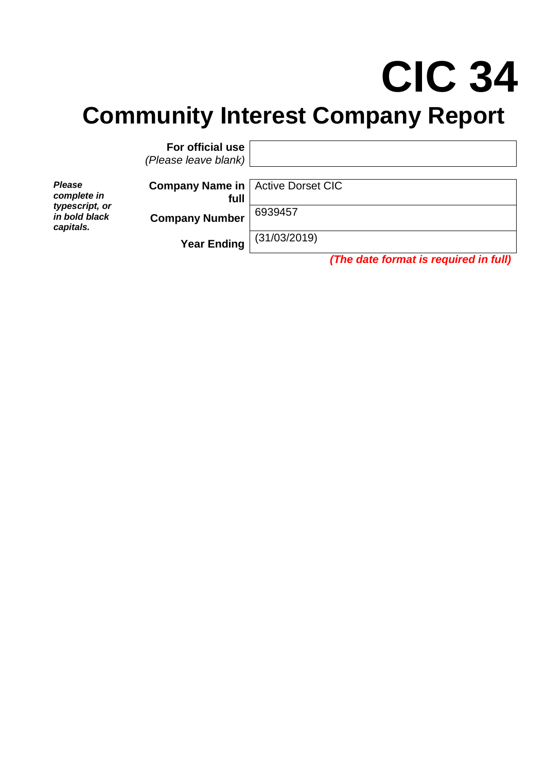# **CIC 34 Community Interest Company Report**

**For official use** *(Please leave blank)*

*Please complete in typescript, or in bold black capitals.*

**Company Name in full**

Active Dorset CIC

**Company Number** 6939457

**Year Ending** (31/03/2019)

*(The date format is required in full)*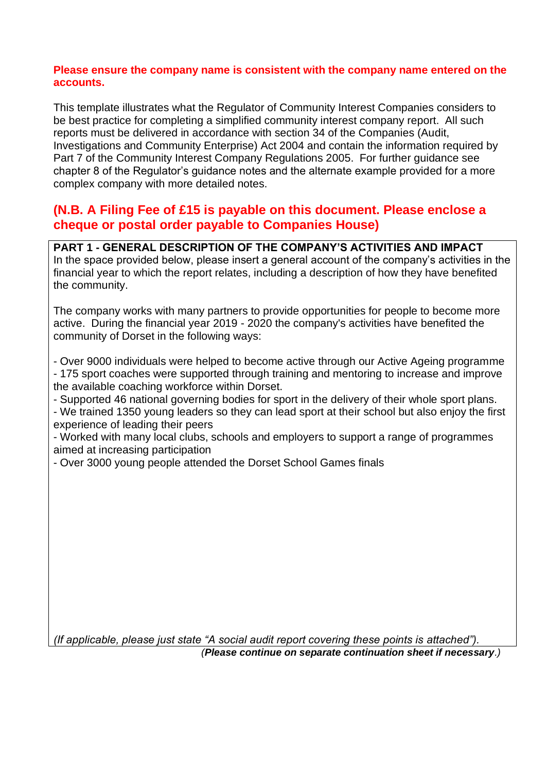#### **Please ensure the company name is consistent with the company name entered on the accounts.**

This template illustrates what the Regulator of Community Interest Companies considers to be best practice for completing a simplified community interest company report. All such reports must be delivered in accordance with section 34 of the Companies (Audit, Investigations and Community Enterprise) Act 2004 and contain the information required by Part 7 of the Community Interest Company Regulations 2005. For further guidance see chapter 8 of the Regulator's guidance notes and the alternate example provided for a more complex company with more detailed notes.

# **(N.B. A Filing Fee of £15 is payable on this document. Please enclose a cheque or postal order payable to Companies House)**

**PART 1 - GENERAL DESCRIPTION OF THE COMPANY'S ACTIVITIES AND IMPACT** In the space provided below, please insert a general account of the company's activities in the financial year to which the report relates, including a description of how they have benefited the community.

The company works with many partners to provide opportunities for people to become more active. During the financial year 2019 - 2020 the company's activities have benefited the community of Dorset in the following ways:

- Over 9000 individuals were helped to become active through our Active Ageing programme - 175 sport coaches were supported through training and mentoring to increase and improve the available coaching workforce within Dorset.

- Supported 46 national governing bodies for sport in the delivery of their whole sport plans.

- We trained 1350 young leaders so they can lead sport at their school but also enjoy the first experience of leading their peers

- Worked with many local clubs, schools and employers to support a range of programmes aimed at increasing participation

- Over 3000 young people attended the Dorset School Games finals

*(If applicable, please just state "A social audit report covering these points is attached").*

*(Please continue on separate continuation sheet if necessary.)*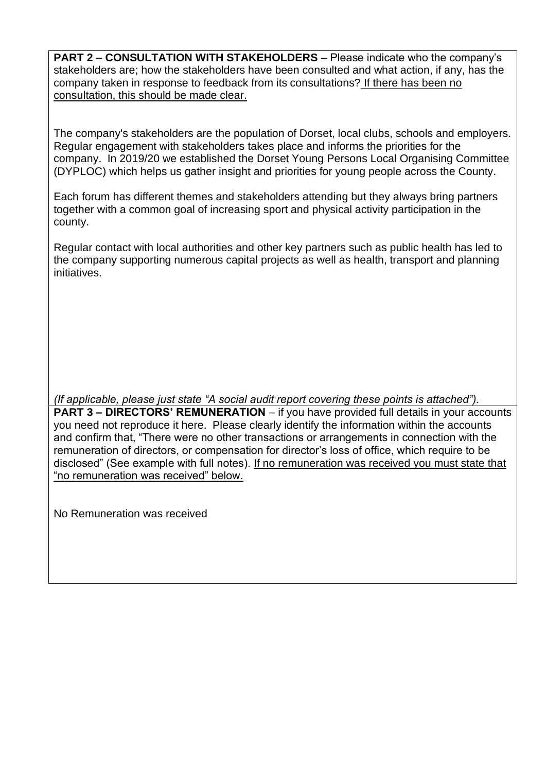**PART 2 – CONSULTATION WITH STAKEHOLDERS** – Please indicate who the company's stakeholders are; how the stakeholders have been consulted and what action, if any, has the company taken in response to feedback from its consultations? If there has been no consultation, this should be made clear.

The company's stakeholders are the population of Dorset, local clubs, schools and employers. Regular engagement with stakeholders takes place and informs the priorities for the company. In 2019/20 we established the Dorset Young Persons Local Organising Committee (DYPLOC) which helps us gather insight and priorities for young people across the County.

Each forum has different themes and stakeholders attending but they always bring partners together with a common goal of increasing sport and physical activity participation in the county.

Regular contact with local authorities and other key partners such as public health has led to the company supporting numerous capital projects as well as health, transport and planning initiatives.

*(If applicable, please just state "A social audit report covering these points is attached").* **PART 3 – DIRECTORS' REMUNERATION** – if you have provided full details in your accounts you need not reproduce it here. Please clearly identify the information within the accounts and confirm that, "There were no other transactions or arrangements in connection with the remuneration of directors, or compensation for director's loss of office, which require to be disclosed" (See example with full notes). If no remuneration was received you must state that "no remuneration was received" below.

No Remuneration was received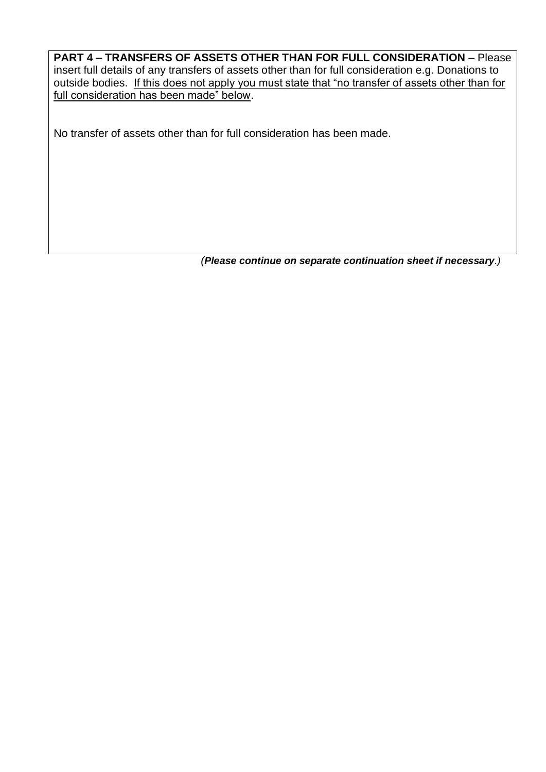### **PART 4 – TRANSFERS OF ASSETS OTHER THAN FOR FULL CONSIDERATION** – Please insert full details of any transfers of assets other than for full consideration e.g. Donations to outside bodies.If this does not apply you must state that "no transfer of assets other than for full consideration has been made" below.

No transfer of assets other than for full consideration has been made.

*(Please continue on separate continuation sheet if necessary.)*